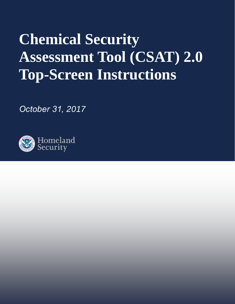# **Chemical Security Assessment Tool (CSAT) 2.0 Top-Screen Instructions**

*October 31, 2017* 

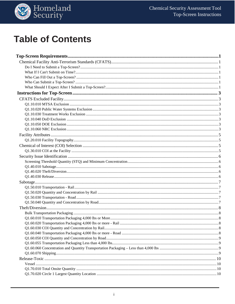

## **Table of Contents**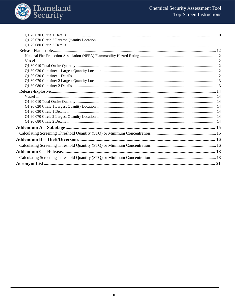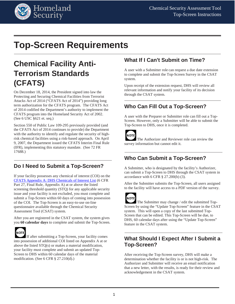

## <span id="page-3-0"></span>**Top-Screen Requirements**

## <span id="page-3-1"></span>**Chemical Facility Anti-Terrorism Standards (CFATS)**

On December 18, 2014, the President signed into law the Protecting and Securing Chemical Facilities from Terrorist Attacks Act of 2014 ("CFATS Act of 2014") providing long term authorization for the CFATS program. The CFATS Act of 2014 codified the Department's authority to implement the CFATS program into the Homeland Security Act of 2002. (See 6 USC §621 et. seq.)

Section 550 of Public Law 109-295 previously provided (and the CFATS Act of 2014 continues to provide) the Department with the authority to identify and regulate the security of highrisk chemical facilities using a risk-based approach. On April 9, 2007, the Department issued the CFATS Interim Final Rule (IFR), implementing this statutory mandate. (See 72 FR 17688.)

### <span id="page-3-2"></span>**Do I Need to Submit a Top-Screen?**

If your facility possesses any chemical of interest (COI) on the [CFATS Appendix A: DHS Chemicals of Interest List](https://www.dhs.gov/publication/cfats-coi-list) (6 CFR Part 27, Final Rule, Appendix A) at or above the listed screening threshold quantity (STQ) for any applicable security issue and your facility is not excluded, you must complete and submit a Top-Screen within 60 days of coming into possession of the COI. The Top-Screen is an easy-to-use on-line questionnaire available through the Chemical Security Assessment Tool (CSAT) system.

After you are registered in the CSAT system, the system gives you **60 calendar days** to complete and submit the Top-Screen.



If after submitting a Top-Screen, your facility comes into possession of additional COI listed on Appendix A at or above the listed STQ(s) or makes a material modification, your facility must complete and submit an updated Top-Screen to DHS within 60 calendar days of the material modification. (See 6 CFR § 27.210(d).)

### <span id="page-3-3"></span>**What If I Can't Submit on Time?**

A user with a Submitter role can request a due date extension to complete and submit the Top-Screen Survey in the CSAT system.

Upon receipt of the extension request, DHS will review all relevant information and notify your facility of its decision through the CSAT system.

### <span id="page-3-4"></span>**Who Can Fill Out a Top-Screen?**

A user with the Preparer or Submitter role can fill out a Top-Screen. However, only a Submitter will be able to submit the Top-Screen to DHS, once it is completed.



The Authorizer and Reviewer role can review the survey information but cannot edit it.

### <span id="page-3-5"></span>**Who Can Submit a Top-Screen?**

A Submitter, who is designated by the facility's Authorizer, can submit a Top-Screen to DHS through the CSAT system in accordance with 6 CFR § 27.200(b) (3).

After the Submitter submits the Top-Screen, all users assigned to the facility will have access to a PDF version of the survey.



The Submitter may change / edit the submitted Top-Screen by using the "Update Top-Screen" feature in the CSAT system. This will open a copy of the last submitted Top-Screen that can be edited. This Top-Screen will be due, to DHS, 60 calendar days after using the "Update Top-Screen" feature in the CSAT system.

### <span id="page-3-6"></span>**What Should I Expect After I Submit a Top-Screen?**

After receiving the Top-Screen survey, DHS will make a determination whether the facility is or is not high-risk. The Authorizer and Submitter will receive an email notification that a new letter, with the results, is ready for their review and acknowledgement in the CSAT system.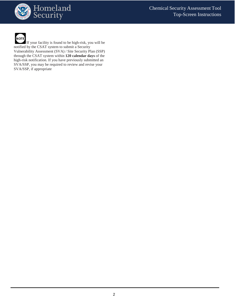



If your facility is found to be high-risk, you will be notified by the CSAT system to submit a Security Vulnerability Assessment (SVA) / Site Security Plan (SSP) through the CSAT system within **120 calendar days** of the high-risk notification. If you have previously submitted an

SVA/SSP, you may be required to review and revise your SVA/SSP, if appropriate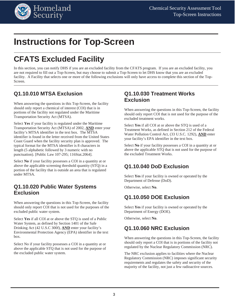

## <span id="page-5-0"></span>**Instructions for Top-Screen**

## **CFATS Excluded Facility**

In this section, you can notify DHS if you are an excluded facility from the CFATS program. If you are an excluded facility, you are not required to fill out a Top-Screen, but may choose to submit a Top-Screen to let DHS know that you are an excluded facility. A Facility that selects one or more of the following exclusions will only have access to complete this section of the Top-Screen.

### <span id="page-5-2"></span>**Q1.10.010 MTSA Exclusion**

When answering the questions in this Top-Screen, the facility should only report a chemical of interest (COI) that is in portions of the facility not regulated under the Maritime Transportation Security Act (MTSA).

Select **Yes** if your facility is regulated under the Maritime Transportation Security Act (MTSA) of 2002, **AND** enter your facility's MTSA identifier in the text box. The MTSA identifier is found in the letter received from the United States Coast Guard when the facility security plan is approved. The typical format for the MTSA identifier is 8 characters in length (5 alphabetic followed by 3 numeric with no punctuation). [Public Law 107-295; 116Stat.2064].

Select **No** if your facility possesses a COI in a quantity at or above the applicable screening threshold quantity (STQ) in a portion of the facility that is outside an area that is regulated under MTSA.

### <span id="page-5-3"></span>**Q1.10.020 Public Water Systems Exclusion**

When answering the questions in this Top-Screen, the facility should only report COI that is not used for the purposes of the excluded public water system.

Select **Yes** if all COI at or above the STQ is used of a Public Water System, as defined by Section 1401 of the Safe Drinking Act (42 U.S.C 300f), **AND** enter your facility's Environmental Protection Agency (EPA) identifier in the text box.

<span id="page-5-4"></span>Select No if your facility possesses a COI in a quantity at or above the applicable STQ that is not used for the purpose of the excluded public water system.

### <span id="page-5-1"></span>**Q1.10.030 Treatment Works Exclusion**

When answering the questions in this Top-Screen, the facility should only report COI that is not used for the purpose of the excluded treatment works.

Select **Yes** if all COI at or above the STQ is used of a Treatment Works, as defined in Section 212 of the Federal Water Pollution Control Act, (33 U.S.C. 1292), **AND** enter your facility's EPA identifier in the text box.

Select **No** if your facility possesses a COI in a quantity at or above the applicable STQ that is not used for the purpose of the excluded Treatment Works.

### <span id="page-5-5"></span>**Q1.10.040 DoD Exclusion**

Select **Yes** if your facility is owned or operated by the Department of Defense (DoD).

Otherwise, select **No**.

### <span id="page-5-6"></span>**Q1.10.050 DOE Exclusion**

Select **Yes** if your facility is owned or operated by the Department of Energy (DOE).

Otherwise, select **No**.

### <span id="page-5-7"></span>**Q1.10.060 NRC Exclusion**

When answering the questions in this Top-Screen, the facility should only report a COI that is in portions of the facility not regulated by the Nuclear Regulatory Commission (NRC).

The NRC exclusion applies to facilities where the Nuclear Regulatory Commission (NRC) imposes significant security requirements and regulates the safety and security of the majority of the facility, not just a few radioactive sources.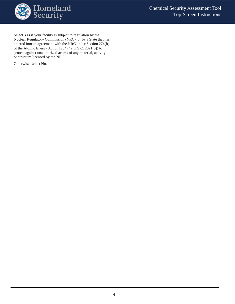

Select **Yes** if your facility is subject to regulation by the Nuclear Regulatory Commission (NRC), or by a State that has entered into an agreement with the NRC under Section 274(b) of the Atomic Energy Act of 1954 (42 U.S.C. 2021(b)) to protect against unauthorized access of any material, activity, or structure licensed by the NRC.

Otherwise, select **No**.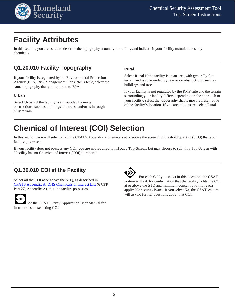

## <span id="page-7-0"></span>**Facility Attributes**

In this section, you are asked to describe the topography around your facility and indicate if your facility manufactures any chemicals.

### <span id="page-7-1"></span>**Q1.20.010 Facility Topography**

If your facility is regulated by the Environmental Protection Agency (EPA) Risk Management Plan (RMP) Rule, select the same topography that you reported to EPA.

#### **Urban**

Select **Urban** if the facility is surrounded by many obstructions, such as buildings and trees, and/or is in rough, hilly terrain.

#### **Rural**

Select **Rural** if the facility is in an area with generally flat terrain and is surrounded by few or no obstructions, such as buildings and trees.

If your facility is not regulated by the RMP rule and the terrain surrounding your facility differs depending on the approach to your facility, select the topography that is most representative of the facility's location. If you are still unsure, select Rural.

## <span id="page-7-2"></span>**Chemical of Interest (COI) Selection**

In this section, you will select all of the CFATS Appendix A chemicals at or above the screening threshold quantity (STQ) that your facility possesses.

If your facility does not possess any COI, you are not required to fill out a Top-Screen, but may choose to submit a Top-Screen with "Facility has no Chemical of Interest (COI) to report."

### <span id="page-7-3"></span>**Q1.30.010 COI at the Facility**

Select all the COI at or above the STQ, as described in [CFATS Appendix A: DHS Chemicals of Interest List](https://www.dhs.gov/publication/cfats-coi-list) (6 CFR Part 27, Appendix A), that the facility possesses.



See the CSAT Survey Application User Manual for instructions on selecting COI.



 For each COI you select in this question, the CSAT system will ask for confirmation that the facility holds the COI at or above the STQ and minimum concentration for each applicable security issue. If you select **No**, the CSAT system will ask no further questions about that COI.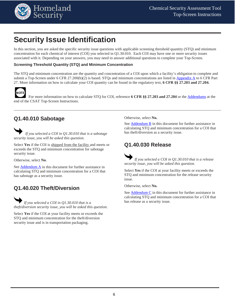

## <span id="page-8-0"></span>**Security Issue Identification**

In this section, you are asked the specific security issue questions with applicable screening threshold quantity (STQ) and minimum concentration for each chemical of interest (COI) you selected in Q1.30.010. Each COI may have one or more security issues associated with it. Depending on your answers, you may need to answer additional questions to complete your Top-Screen.

### <span id="page-8-1"></span>**Screening Threshold Quantity (STQ) and Minimum Concentration**

The STQ and minimum concentration are the quantity and concentration of a COI upon which a facility's obligation to complete and submit a Top-Screen under 6 CFR 27.200(b)(2) is based. STQs and minimum concentrations are listed in [Appendix A](https://www.dhs.gov/publication/cfats-coi-list) to 6 CFR Part 27. More information on how to calculate your COI quantity can be found in the regulatory text, **6 CFR §§ 27.203 and 27.204.**



 For more information on how to calculate STQ for COI, reference **6 CFR §§ 27.203 and 27.204** or the [Addendums](#page-17-0) at the end of the CSAT Top-Screen Instructions.

### <span id="page-8-2"></span>**Q1.40.010 Sabotage**

 *If you selected a COI in Q1.30.010 that is a sabotage security issue, you will be asked this question.*

Select **Yes** if the COI is shipped from the facility and meets or exceeds the STQ and minimum concentration for sabotage security issue.

Otherwise, select **No**.

See [Addendum A](#page-17-0) in this document for further assistance in calculating STQ and minimum concentration for a COI that has sabotage as a security issue.

### <span id="page-8-3"></span>**Q1.40.020 Theft/Diversion**

 *If you selected a COI in Q1.30.010 that is a theft/diversion security issue, you will be asked this question.*

Select **Yes** if the COI at your facility meets or exceeds the STQ and minimum concentration for the theft/diversion security issue and is in transportation packaging.

Otherwise, select **No.**

See [Addendum B](#page-18-0) in this document for further assistance in calculating STQ and minimum concentration for a COI that has theft/diversion as a security issue.

### <span id="page-8-4"></span>**Q1.40.030 Release**

 *If you selected a COI in Q1.30.010 that is a release security issue, you will be asked this question.*

Select **Yes** if the COI at your facility meets or exceeds the STQ and minimum concentration for the release security issue.

Otherwise, select **No.** 

See [Addendum C](#page-20-0) in this document for further assistance in calculating STQ and minimum concentration for a COI that has release as a security issue.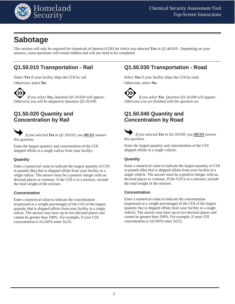

## <span id="page-9-0"></span>**Sabotage**

This section will only be required for chemicals of interest (COI) for which you selected **Yes** in Q1.40.010. Depending on your answers, some questions will remain hidden and will not need to be completed.

### <span id="page-9-1"></span>**Q1.50.010 Transportation - Rail**

Select **Yes** if your facility ships the COI by rail. Otherwise, select **No**.

 *If you select Yes, Question Q1.50.020 will appear. Otherwise you will be skipped to Question Q1.50.030.* 

### <span id="page-9-2"></span>**Q1.50.020 Quantity and Concentration by Rail**



Enter the largest quantity and concentration of the COI shipped offsite in a single railcar from your facility.

### **Quantity**

Enter a numerical value to indicate the largest quantity of COI in pounds (lbs) that is shipped offsite from your facility in a single railcar. The answer must be a positive integer with no decimal places or commas. If the COI is in a mixture, include the total weight of the mixture.

#### **Concentration**

Enter a numerical value to indicate the concentration (expressed as a weight percentage) of the COI of the largest quantity that is shipped offsite from your facility in a single railcar. The answer may have up to two decimal places and cannot be greater than 100%. For example, if your COI concentration is 54.545% enter 54.55.

### <span id="page-9-3"></span>**Q1.50.030 Transportation - Road**

Select **Yes** if your facility ships the COI by road. Otherwise, select **No**.



 *If you select Yes, Question Q1.50.040 will appear. Otherwise you are finished with the question set.*

### <span id="page-9-4"></span>**Q1.50.040 Quantity and Concentration by Road**

 *If you selected Yes in Q1.50.030, you MUST answer this question*.

Enter the largest quantity and concentration of the COI shipped offsite in a single vehicle.

#### **Quantity**

Enter a numerical value to indicate the largest quantity of COI in pounds (lbs) that is shipped offsite from your facility in a single vehicle. The answer must be a positive integer with no decimal places or commas. If the COI is in a mixture, include the total weight of the mixture.

#### **Concentration**

Enter a numerical value to indicate the concentration (expressed as a weight percentage) of the COI of the largest quantity that is shipped offsite from your facility in a single vehicle. The answer may have up to two decimal places and cannot be greater than 100%. For example, if your COI concentration is 54.545% enter 54.55.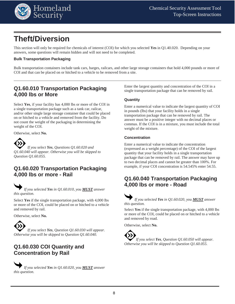

## <span id="page-10-0"></span>**Theft/Diversion**

This section will only be required for chemicals of interest (COI) for which you selected **Yes** in Q1.40.020. Depending on your answers, some questions will remain hidden and will not need to be completed.

#### <span id="page-10-1"></span>**Bulk Transportation Packaging**

Bulk transportation containers include tank cars, barges, railcars, and other large storage containers that hold 4,000 pounds or more of COI and that can be placed on or hitched to a vehicle to be removed from a site.

### <span id="page-10-2"></span>**Q1.60.010 Transportation Packaging 4,000 lbs or More**

Select **Yes**, if your facility has 4,000 lbs or more of the COI in a single transportation package such as a tank car, railcar, and/or other single large storage container that could be placed on or hitched to a vehicle and removed from the facility. Do not count the weight of the packaging in determining the weight of the COI.

Otherwise, select **No.**



 *If you select Yes, Questions Q1.60.020 and Q1.60.040 will appear. Otherwise you will be skipped to Question Q1.60.055.* 

### <span id="page-10-3"></span>**Q1.60.020 Transportation Packaging 4,000 lbs or more - Rail**

 *If you selected Yes in Q1.60.010, you MUST answer this question.*

Select **Yes** if the single transportation package, with 4,000 lbs or more of the COI, could be placed on or hitched to a vehicle and removed by rail.

Otherwise, select **No.**

 *If you select Yes, Question Q1.60.030 will appear. Otherwise you will be skipped to Question Q1.60.040.*

### <span id="page-10-4"></span>**Q1.60.030 COI Quantity and Concentration by Rail**



Enter the largest quantity and concentration of the COI in a single transportation package that can be removed by rail.

#### **Quantity**

Enter a numerical value to indicate the largest quantity of COI in pounds (lbs) that your facility holds in a single transportation package that can be removed by rail. The answer must be a positive integer with no decimal places or commas. If the COI is in a mixture, you must include the total weight of the mixture.

#### **Concentration**

Enter a numerical value to indicate the concentration (expressed as a weight percentage) of the COI of the largest quantity that your facility holds in a single transportation package that can be removed by rail. The answer may have up to two decimal places and cannot be greater than 100%. For example, if your COI concentration is 54.545% enter 54.55.

### <span id="page-10-5"></span>**Q1.60.040 Transportation Packaging 4,000 lbs or more - Road**

 *If you selected Yes in Q1.60.020, you MUST answer this question.*

Select **Yes** if the single transportation package, with 4,000 lbs or more of the COI, could be placed on or hitched to a vehicle and removed by road.

Otherwise, select **No.**

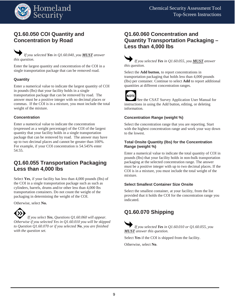

### <span id="page-11-0"></span>**Q1.60.050 COI Quantity and Concentration by Road**

### *If you selected Yes in Q1.60.040, you MUST answer this question.*

Enter the largest quantity and concentration of the COI in a single transportation package that can be removed road.

#### **Quantity**

Enter a numerical value to indicate the largest quantity of COI in pounds (lbs) that your facility holds in a single transportation package that can be removed by road. The answer must be a positive integer with no decimal places or commas. If the COI is in a mixture, you must include the total weight of the mixture.

#### **Concentration**

Enter a numerical value to indicate the concentration (expressed as a weight percentage) of the COI of the largest quantity that your facility holds in a single transportation package that can be removed by road. The answer may have up to two decimal places and cannot be greater than 100%. For example, if your COI concentration is 54.545% enter 54.55.

### <span id="page-11-1"></span>**Q1.60.055 Transportation Packaging Less than 4,000 lbs**

Select **Yes**, if your facility has less than 4,000 pounds (lbs) of the COI in a single transportation package such as such as cylinders, barrels, drums and/or other less than 4,000 lbs transportation containers. Do not count the weight of the packaging in determining the weight of the COI.

Otherwise, select **No.**



 *If you select Yes, Questions Q1.60.060 will appear. Otherwise if you selected Yes in Q1.60.010 you will be skipped to Question Q1.60.070 or if you selected No, you are finished with the question set.* 

### <span id="page-11-2"></span>**Q1.60.060 Concentration and Quantity Transportation Packaging – Less than 4,000 lbs**



Select the **Add button**, to report concentrations in transportation packaging that holds less than 4,000 pounds (lbs) per container. Continue to select **Add** to report additional quantities at different concentration ranges.



See the CSAT Survey Application User Manual for instructions in using the Add button, editing, or deleting information.

#### **Concentration Range (weight %)**

Select the concentration range that you are reporting. Start with the highest concentration range and work your way down to the lowest.

#### **Total Onsite Quantity (lbs) for the Concentration Range (weight %)**

Enter a numerical value to indicate the total quantity of COI in pounds (lbs) that your facility holds in non-bulk transportation packaging at the selected concentration range. The answer must be a positive integer with up to two decimal places. If the COI is in a mixture, you must include the total weight of the mixture.

#### **Select Smallest Container Size Onsite**

Select the smallest container, at your facility, from the list provided that it holds the COI for the concentration range you indicated.

### <span id="page-11-3"></span>**Q1.60.070 Shipping**

 *If you selected Yes in Q1.60.010 or Q1.60.055, you MUST answer this question.* 

Select **Yes** if the COI is shipped from the facility.

Otherwise, select **No**.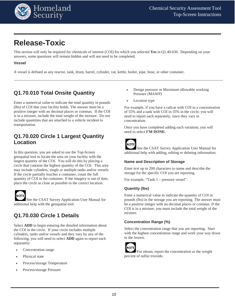

## <span id="page-12-0"></span>**Release-Toxic**

This section will only be required for chemicals of interest (COI) for which you selected **Yes** in Q1.40.030. Depending on your answers, some questions will remain hidden and will not need to be completed.

### <span id="page-12-1"></span>**Vessel**

A vessel is defined as any reactor, tank, drum, barrel, cylinder, vat, kettle, boiler, pipe, hose, or other container.

### <span id="page-12-2"></span>**Q1.70.010 Total Onsite Quantity**

Enter a numerical value to indicate the total quantity in pounds (lbs) of COI that your facility holds. The answer must be a positive integer with no decimal places or commas. If the COI is in a mixture, include the total weight of the mixture. Do not include quantities that are attached to a vehicle incident to transportation.

### <span id="page-12-3"></span>**Q1.70.020 Circle 1 Largest Quantity Location**

In this question, you are asked to use the Top-Screen geospatial tool to locate the area on your facility with the largest quantity of the COI. You will do this by placing a circle that contains the highest quantity of the COI. This area may include cylinders, single or multiple tanks and/or vessels. If the circle partially touches a container, count the full quantity of COI in the container. If the imagery is out of date, place the circle as close as possible to the correct location.



See the CSAT Survey Application User Manual for additional help with the geospatial tool.

### <span id="page-12-4"></span>**Q1.70.030 Circle 1 Details**

Select **ADD** to begin entering the detailed information about the COI in the circle. If your circle includes multiple cylinders, tanks and/or vessels and they vary by any of the following, you will need to select **ADD** again to report each separately:

- Concentration range
- Physical state
- Process/storage Temperature
- Process/storage Pressure
- Design pressure or Maximum allowable working Pressure (MAWP)
- Location type

For example, if you have a railcar with COI in a concentration of 55% and a tank with COI in 35% in the circle, you will need to report each separately, since they vary in concentration.

Once you have completed adding each variation, you will need to select **I'M DONE.**



See the CSAT Survey Application User Manual for additional help with adding, editing or deleting information.

#### **Name and Description of Storage**

Enter text up to 200 characters to name and describe the storage for the specific COI you are reporting.

For example, "Tank 1 – pressure vessel".

#### **Quantity (lbs)**

Enter a numerical value to indicate the quantity of COI in pounds (lbs) in the storage you are reporting. The answer must be a positive integer with no decimal places or commas. If the COI is in a mixture, you must include the total weight of the mixture.

#### **Concentration Range (%)**

Select the concentration range that you are reporting. Start with the highest concentration range and work your way down to the lowest.



For oleum, report the concentration as the weight percent of sulfur trioxide.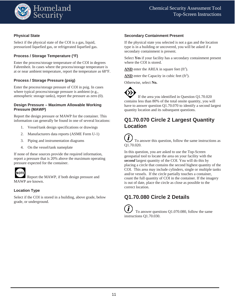

#### **Physical State**

Select if the physical state of the COI is a gas, liquid, pressurized liquefied gas, or refrigerated liquefied gas.

### **Process / Storage Temperature (°F)**

Enter the process/storage temperature of the COI in degrees Fahrenheit. In cases where the process/storage temperature is at or near ambient temperature, report the temperature as 68°F.

#### **Process / Storage Pressure (psig)**

Enter the process/storage pressure of COI in psig. In cases where typical process/storage pressure is ambient (e.g., atmospheric storage tanks), report the pressure as zero (0).

#### **Design Pressure – Maximum Allowable Working Pressure (MAWP)**

Report the design pressure or MAWP for the container. This information can generally be found in one of several locations:

- 1. Vessel/tank design specifications or drawings
- 2. Manufacturers data reports (ASME Form U-1)
- 3. Piping and instrumentation diagrams
- 4. On the vessel/tank nameplate

If none of these sources provide the required information, report a pressure that is 20% above the maximum operating pressure expected for the container.



 Report the MAWP, if both design pressure and MAWP are known.

#### **Location Type**

Select if the COI is stored in a building, above grade, below grade, or underground.

#### **Secondary Containment Present**

If the physical state you selected is not a gas and the location type is in a building or uncovered, you will be asked if a secondary containment is present.

Select **Yes** if your facility has a secondary containment present where the COI is stored.

 $\overline{\text{AND}}$  enter the AREA in square feet (ft<sup>2</sup>).

 $\overline{\text{AND}}$  enter the Capacity in cubic feet (ft<sup>3</sup>).

Otherwise, select **No.**

<span id="page-13-0"></span> If the area you identified in Question Q1.70.020 contains less than 80% of the total onsite quantity, you will have to answer question Q1.70.070 to identify a second largest quantity location and its subsequent questions.

### **Q1.70.070 Circle 2 Largest Quantity Location**

 $\dot{\mathbf{I}}$  To answer this question, follow the same instructions as Q1.70.020.

In this question, you are asked to use the Top-Screen geospatial tool to locate the area on your facility with the *second* largest quantity of the COI. You will do this by placing a circle that contains the second highest quantity of the COI. This area may include cylinders, single or multiple tanks and/or vessels. If the circle partially touches a container, count the full quantity of COI in the container. If the imagery is out of date, place the circle as close as possible to the correct location.

### <span id="page-13-1"></span>**Q1.70.080 Circle 2 Details**

 To answer questions Q1.070.080, follow the same instructions Q1.70.030.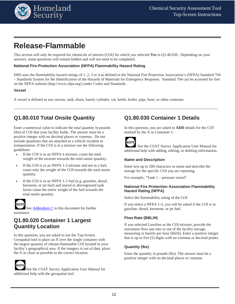

## <span id="page-14-0"></span>**Release-Flammable**

This section will only be required for chemicals of interest (COI) for which you selected **Yes** in Q1.40.030. Depending on your answers, some questions will remain hidden and will not need to be completed.

#### <span id="page-14-1"></span>**National Fire Protection Association (NFPA) Flammability Hazard Rating**

DHS uses the flammability hazard ratings of 1, 2, 3 or 4 as defined in the National Fire Protection Association's (NFPA) Standard 704 – Standards System for the Identification of the Hazards of Materials for Emergency Response. Standard 704 can be accessed for free on the NFPA website (http://www.nfpa.org/) under Codes and Standards.

#### <span id="page-14-2"></span>**Vessel**

A vessel is defined as any reactor, tank, drum, barrel, cylinder, vat, kettle, boiler, pipe, hose, or other container.

### <span id="page-14-3"></span>**Q1.80.010 Total Onsite Quantity**

Enter a numerical value to indicate the total quantity in pounds (lbs) of COI that your facility holds. The answer must be a positive integer with no decimal places or commas. Do not include quantities that are attached to a vehicle incident to transportation. If the COI is in a mixture use the following guidelines:

- If the COI is in an NFPA 4 mixture, count the total weight of the mixture towards the total onsite quantity.
- If the COI is in an NFPA 1-3 mixture and not in a fuel, count only the weight of the COI towards the total onsite quantity.
- If the COI is in an NFPA 1-3 fuel (e.g. gasoline, diesel, kerosene, or jet fuel) and stored in aboveground tank farms count the entire weight of the fuel towards the total onsite quantity.

## ΝΟΤΙ

See [Addendum C](#page-20-0) in this document for further assistance.

### <span id="page-14-4"></span>**Q1.80.020 Container 1 Largest Quantity Location**

In this question, you are asked to use the Top-Screen Geospatial tool to place an X over the single container with the largest quantity of release-flammable COI located in your facility's geographical area. If the imagery is out of date, place the X as close as possible to the correct location.



See the CSAT Survey Application User Manual for additional help with the geospatial tool.

### <span id="page-14-5"></span>**Q1.80.030 Container 1 Details**

In this question, you are asked to **ADD** details for the COI marked by the X in Container 1.



See the CSAT Survey Application User Manual for additional help with adding, editing, or deleting information.

#### **Name and Description**

Enter text up to 200 characters to name and describe the storage for the specific COI you are reporting.

For example, "Tank 1 – pressure vessel".

#### **National Fire Protection Association Flammability Hazard Rating (NFPA)**

Select the flammability rating of the COI.

If you select a NFPA 1-3, you will be asked if the COI is in gasoline, diesel, kerosene, or jet fuel.

#### **Flow Rate (BBL/H)**

If you selected Gasoline as the COI mixture, provide the maximum flow rate into or out of the facility storage, measuring in barrels per hour (bbl/h). Enter a positive integer that is up to five (5) digits with no commas or decimal points.

#### **Quantity (lbs)**

Enter the quantity in pounds (lbs). The answer must be a positive integer with no decimal places or commas.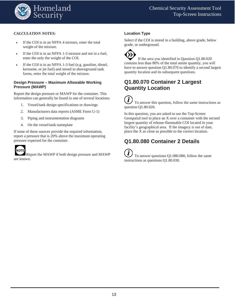

#### *CALCULATION NOTES:*

- If the COI is in an NFPA 4 mixture, enter the total weight of the mixture.
- If the COI is in an NFPA 1-3 mixture and not in a fuel, enter the only the weight of the COI.
- If the COI is in an NFPA 1-3 fuel (e.g. gasoline, diesel, kerosene, or jet fuel) and stored in aboveground tank farms, enter the total weight of the mixture.

#### **Design Pressure – Maximum Allowable Working Pressure (MAWP)**

Report the design pressure or MAWP for the container. This information can generally be found in one of several locations:

- 1. Vessel/tank design specifications or drawings
- 2. Manufacturers data reports (ASME Form U-1)
- 3. Piping and instrumentation diagrams
- 4. On the vessel/tank nameplate

If none of these sources provide the required information, report a pressure that is 20% above the maximum operating pressure expected for the container.



Report the MAWP if both design pressure and MAWP are known.

#### **Location Type**

Select if the COI is stored in a building, above grade, below grade, or underground.

<span id="page-15-0"></span> If the area you identified in Question Q1.80.020 contains less than 80% of the total onsite quantity, you will have to answer question Q1.80.070 to identify a second largest quantity location and its subsequent questions.

### **Q1.80.070 Container 2 Largest Quantity Location**

 To answer this question, follow the same instructions as question Q1.80.020.

In this question, you are asked to use the Top-Screen Geospatial tool to place an X over a container with the second largest quantity of release-flammable COI located in your facility's geographical area. If the imagery is out of date, place the X as close as possible to the correct location.

### <span id="page-15-1"></span>**Q1.80.080 Container 2 Details**

Ĭ To answer questions Q1.080.080, follow the same instructions as questions Q1.80.030.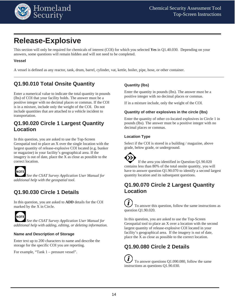

## <span id="page-16-0"></span>**Release-Explosive**

This section will only be required for chemicals of interest (COI) for which you selected **Yes** in Q1.40.030. Depending on your answers, some questions will remain hidden and will not need to be completed.

#### <span id="page-16-1"></span>**Vessel**

A vessel is defined as any reactor, tank, drum, barrel, cylinder, vat, kettle, boiler, pipe, hose, or other container.

### <span id="page-16-2"></span>**Q1.90.010 Total Onsite Quantity**

Enter a numerical value to indicate the total quantity in pounds (lbs) of COI that your facility holds. The answer must be a positive integer with no decimal places or commas. If the COI is in a mixture, include only the weight of the COI. Do not include quantities that are attached to a vehicle incident to transportation.

### <span id="page-16-3"></span>**Q1.90.020 Circle 1 Largest Quantity Location**

In this question, you are asked to use the Top-Screen Geospatial tool to place an X over the single location with the largest quantity of release-explosive COI located (e.g. bunker or magazine) in your facility's geographical area. If the imagery is out of date, place the X as close as possible to the correct location.



*See the CSAT Survey Application User Manual for additional help with the geospatial tool.*

### <span id="page-16-4"></span>**Q1.90.030 Circle 1 Details**

In this question, you are asked to **ADD** details for the COI marked by the X in Circle.



*See the CSAT Survey Application User Manual for additional help with adding, editing, or deleting information.*

#### **Name and Description of Storage**

Enter text up to 200 characters to name and describe the storage for the specific COI you are reporting.

For example, "Tank 1 – pressure vessel".

#### **Quantity (lbs)**

Enter the quantity in pounds (lbs). The answer must be a positive integer with no decimal places or commas.

If in a mixture include, only the weight of the COI.

#### **Quantity of other explosives in the circle (lbs)**

Enter the quantity of other co-located explosives in Circle 1 in pounds (lbs). The answer must be a positive integer with no decimal places or commas.

#### **Location Type**

Select if the COI is stored in a building / magazine, above grade, below grade, or underground.

<span id="page-16-5"></span>

### **Q1.90.070 Circle 2 Largest Quantity Location**

To answer this question, follow the same instructions as question Q1.90.020.

In this question, you are asked to use the Top-Screen Geospatial tool to place an X over a location with the second largest quantity of release-explosive COI located in your facility's geographical area. If the imagery is out of date, place the X as close as possible to the correct location.

### <span id="page-16-6"></span>**Q1.90.080 Circle 2 Details**

 To answer questions Q1.090.080, follow the same instructions as questions Q1.90.030.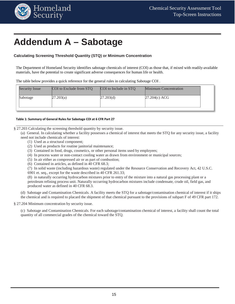

## <span id="page-17-0"></span>**Addendum A – Sabotage**

#### <span id="page-17-1"></span>**Calculating Screening Threshold Quantity (STQ) or Minimum Concentration**

The Department of Homeland Security identifies sabotage chemicals of interest (COI) as those that, if mixed with readily-available materials, have the potential to create significant adverse consequences for human life or health.

The table below provides a quick reference for the general rules in calculating Sabotage COI .

| <b>Security Issue</b> | COI to Exclude from STO | COI to Include in STO | <b>Minimum Concentration</b> |  |
|-----------------------|-------------------------|-----------------------|------------------------------|--|
| Sabotage              | 27.203(a)               | 27.203(d)             | $27.204(c)$ ACG              |  |
|                       |                         |                       |                              |  |

#### **Table 1: Summary of General Rules for Sabotage COI at 6 CFR Part 27**

§ 27.203 Calculating the screening threshold quantity by security issue.

(a) General. In calculating whether a facility possesses a chemical of interest that meets the STQ for any security issue, a facility need not include chemicals of interest:

- (1) Used as a structural component;
- (2) Used as products for routine janitorial maintenance;
- (3) Contained in food, drugs, cosmetics, or other personal items used by employees;
- (4) In process water or non-contact cooling water as drawn from environment or municipal sources;
- (5) In air either as compressed air or as part of combustion;
- (6) Contained in articles, as defined in 40 CFR 68.3;
- (7) In solid waste (including hazardous waste) regulated under the Resource Conservation and Recovery Act, 42 U.S.C.

6901 et. seq., except for the waste described in 40 CFR 261.33;

(8) in naturally occurring hydrocarbon mixtures prior to entry of the mixture into a natural gas processing plant or a petroleum refining process unit. Naturally occurring hydrocarbon mixtures include condensate, crude oil, field gas, and produced water as defined in 40 CFR 68.3.

(d) Sabotage and Contamination Chemicals. A facility meets the STQ for a sabotage/contamination chemical of interest if it ships the chemical and is required to placard the shipment of that chemical pursuant to the provisions of subpart F of 49 CFR part 172.

§ 27.204 Minimum concentration by security issue.

(c) Sabotage and Contamination Chemicals. For each sabotage/contamination chemical of interest, a facility shall count the total quantity of all commercial grades of the chemical toward the STQ.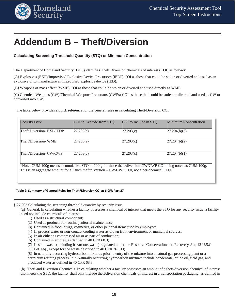

## <span id="page-18-0"></span>**Addendum B – Theft/Diversion**

#### <span id="page-18-1"></span>**Calculating Screening Threshold Quantity (STQ) or Minimum Concentration**

The Department of Homeland Security (DHS) identifies Theft/Diversion chemicals of interest (COI) as follows:

(A) Explosives (EXP)/Improvised Explosive Device Precursors (IEDP) COI as those that could be stolen or diverted and used as an explosive or to manufacture an improvised explosive device (IED).

(B) Weapons of mass effect (WME) COI as those that could be stolen or diverted and used directly as WME.

(C) Chemical Weapons (CW)/Chemical Weapons Precursors (CWPs) COI as those that could be stolen or diverted and used as CW or converted into CW.

The table below provides a quick reference for the general rules in calculating Theft/Diversion COI

| <b>Security Issue</b>                                                                                                                                                                                           | COI to Exclude from STO | COI to Include in STO | Minimum Concentration |
|-----------------------------------------------------------------------------------------------------------------------------------------------------------------------------------------------------------------|-------------------------|-----------------------|-----------------------|
| Theft/Diversion-EXP/IEDP                                                                                                                                                                                        | 27.203(a)               | 27.203(c)             | 27.204(b)(3)          |
| Theft/Diversion-WME                                                                                                                                                                                             | 27.203(a)               | 27.203(c)             | 27.204(b)(2)          |
| Theft/Diversion- CW/CWP                                                                                                                                                                                         | 27.203(a)               | 27.203(c)             | 27.204(b)(1)          |
| *Note: CUM 100g means a cumulative STQ of 100 g for those theft/diversion-CW/CWP COI being noted as CUM 100g.<br>This is an aggregate amount for all such theft/diversion – CW/CWP COI, not a per-chemical STQ. |                         |                       |                       |

#### **Table 2: Summary of General Rules for Theft/Diversion COI at 6 CFR Part 27**

§ 27.203 Calculating the screening threshold quantity by security issue.

(a) General. In calculating whether a facility possesses a chemical of interest that meets the STQ for any security issue, a facility need not include chemicals of interest:

- (1) Used as a structural component;
- (2) Used as products for routine janitorial maintenance;
- (3) Contained in food, drugs, cosmetics, or other personal items used by employees;
- (4) In process water or non-contact cooling water as drawn from environment or municipal sources;
- (5) In air either as compressed air or as part of combustion;
- (6) Contained in articles, as defined in 40 CFR 68.3;
- (7) In solid waste (including hazardous waste) regulated under the Resource Conservation and Recovery Act, 42 U.S.C. 6901 et. seq., except for the waste described in 40 CFR 261.33;

(8) in naturally occurring hydrocarbon mixtures prior to entry of the mixture into a natural gas processing plant or a petroleum refining process unit. Naturally occurring hydrocarbon mixtures include condensate, crude oil, field gas, and produced water as defined in 40 CFR 68.3.

(b) Theft and Diversion Chemicals. In calculating whether a facility possesses an amount of a theft/diversion chemical of interest that meets the STQ, the facility shall only include theft/diversion chemicals of interest in a transportation packaging, as defined in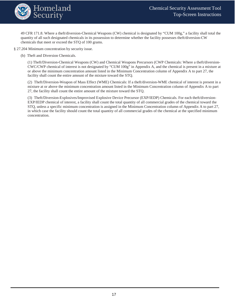

49 CFR 171.8. Where a theft/diversion-Chemical Weapons (CW) chemical is designated by "CUM 100g," a facility shall total the quantity of all such designated chemicals in its possession to determine whether the facility possesses theft/diversion-CW chemicals that meet or exceed the STQ of 100 grams.

§ 27.204 Minimum concentration by security issue.

(b) Theft and Diversion Chemicals.

(1) Theft/Diversion-Chemical Weapons (CW) and Chemical Weapons Precursors (CWP Chemicals: Where a theft/diversion-CWC/CWP chemical of interest is not designated by "CUM 100g" in Appendix A, and the chemical is present in a mixture at or above the minimum concentration amount listed in the Minimum Concentration column of Appendix A to part 27, the facility shall count the entire amount of the mixture toward the STQ.

(2) Theft/Diversion-Weapon of Mass Effect (WME) Chemicals: If a theft/diversion-WME chemical of interest is present in a mixture at or above the minimum concentration amount listed in the Minimum Concentration column of Appendix A to part 27, the facility shall count the entire amount of the mixture toward the STQ.

(3) Theft/Diversion-Explosives/Improvised Explosive Device Precursor (EXP/IEDP) Chemicals. For each theft/diversion-EXP/IEDP chemical of interest, a facility shall count the total quantity of all commercial grades of the chemical toward the STQ, unless a specific minimum concentration is assigned in the Minimum Concentration column of Appendix A to part 27, in which case the facility should count the total quantity of all commercial grades of the chemical at the specified minimum concentration.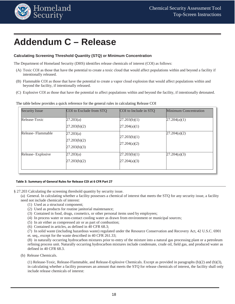

## <span id="page-20-0"></span>**Addendum C – Release**

#### <span id="page-20-1"></span>**Calculating Screening Threshold Quantity (STQ) or Minimum Concentration**

The Department of Homeland Security (DHS) identifies release chemicals of interest (COI) as follows:

- (A) Toxic COI as those that have the potential to create a toxic cloud that would affect populations within and beyond a facility if intentionally released.
- (B) Flammable COI as those that have the potential to create a vapor cloud explosion that would affect populations within and beyond the facility, if intentionally released.
- (C) Explosive COI as those that have the potential to affect populations within and beyond the facility, if intentionally detonated.

|  |  | The table below provides a quick reference for the general rules in calculating Release COI |  |
|--|--|---------------------------------------------------------------------------------------------|--|
|  |  |                                                                                             |  |

| <b>Security Issue</b> | COI to Exclude from STQ                       | COI to Include in STQ            | <b>Minimum Concentration</b> |
|-----------------------|-----------------------------------------------|----------------------------------|------------------------------|
| Release-Toxic         | 27.203(a)<br>27.203(b)(2)                     | 27.203(b)(1)<br>[27.204(a)(1)]   | 27.204(a)(1)                 |
| Release-Flammable     | 27.203(a)<br>[27.203(b)(2)]<br>[27.203(b)(3)] | [27.203(b)(1)]<br>[27.204(a)(2)] | 27.204(a)(2)                 |
| Release-Explosive     | 27.203(a)<br>27.203(b)(2)                     | [27.203(b)(1)]<br>27.204(a)(3)   | 27.204(a)(3)                 |

#### **Table 3: Summary of General Rules for Release COI at 6 CFR Part 27**

§ 27.203 Calculating the screening threshold quantity by security issue.

(a) General. In calculating whether a facility possesses a chemical of interest that meets the STQ for any security issue, a facility need not include chemicals of interest:

- (1) Used as a structural component;
- (2) Used as products for routine janitorial maintenance;
- (3) Contained in food, drugs, cosmetics, or other personal items used by employees;
- (4) In process water or non-contact cooling water as drawn from environment or municipal sources;
- (5) In air either as compressed air or as part of combustion;
- (6) Contained in articles, as defined in 40 CFR 68.3;
- (7) In solid waste (including hazardous waste) regulated under the Resource Conservation and Recovery Act, 42 U.S.C. 6901 et. seq., except for the waste described in 40 CFR 261.33;

(8) in naturally occurring hydrocarbon mixtures prior to entry of the mixture into a natural gas processing plant or a petroleum refining process unit. Naturally occurring hydrocarbon mixtures include condensate, crude oil, field gas, and produced water as defined in 40 CFR 68.3.

(b) Release Chemicals.

(1) Release-Toxic, Release-Flammable, and Release-Explosive Chemicals. Except as provided in paragraphs (b)(2) and (b)(3), in calculating whether a facility possesses an amount that meets the STQ for release chemicals of interest, the facility shall only include release chemicals of interest: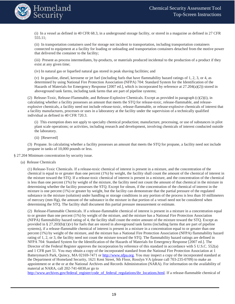

(i) In a vessel as defined in 40 CFR 68.3, in a underground storage facility, or stored in a magazine as defined in 27 CFR 555.11;

(ii) In transportation containers used for storage not incident to transportation, including transportation containers connected to equipment at a facility for loading or unloading and transportation containers detached from the motive power that delivered the container to the facility;

(iii) Present as process intermediates, by-products, or materials produced incidental to the production of a product if they exist at any given time;

(iv) In natural gas or liquefied natural gas stored in peak shaving facilities; and

(v) In gasoline, diesel, kerosene or jet fuel (including fuels that have flammability hazard ratings of 1, 2, 3, or 4, as determined by using National Fire Protection Association (NFPA) 704: Standard System for the Identification of the Hazards of Materials for Emergency Response [2007 ed.], which is incorporated by reference at 27.204(a)(2)) stored in aboveground tank farms, including tank farms that are part of pipeline systems;

(2) Release-Toxic, Release-Flammable, and Release-Explosive Chemicals. Except as provided in paragraph (c)(2)(i), in calculating whether a facility possesses an amount that meets the STQ for release-toxic, release-flammable, and releaseexplosive chemicals, a facility need not include release-toxic, release-flammable, or release-explosive chemicals of interest that a facility manufactures, processes or uses in a laboratory at the facility under the supervision of a technically qualified individual as defined in 40 CFR 720.3.

(i) This exemption does not apply to specialty chemical production; manufacture, processing, or use of substances in pilot plant scale operations; or activities, including research and development, involving chemicals of interest conducted outside the laboratory.

(ii) [Reserved]

(3) Propane. In calculating whether a facility possesses an amount that meets the STQ for propane, a facility need not include propane in tanks of 10,000 pounds or less.

§ 27.204 Minimum concentration by security issue.

(a) Release Chemicals

(1) Release-Toxic Chemicals. If a release-toxic chemical of interest is present in a mixture, and the concentration of the chemical is equal to or greater than one percent (1%) by weight, the facility shall count the amount of the chemical of interest in the mixture toward the STQ. If a release-toxic chemical of interest is present in a mixture, and the concentration of the chemical is less than one percent (1%) by weight of the mixture, the facility need not count the amount of that chemical in the mixture in determining whether the facility possesses the STQ. Except for oleum, if the concentration of the chemical of interest in the mixture is one percent (1%) or greater by weight, but the facility can demonstrate that the partial pressure of the regulated substance in the mixture (solution) under handling or storage conditions in any portion of the process is less than 10 millimeters of mercury (mm Hg), the amount of the substance in the mixture in that portion of a vessel need not be considered when determining the STQ. The facility shall document this partial pressure measurement or estimate.

(2) Release-Flammable Chemicals. If a release-flammable chemical of interest is present in a mixture in a concentration equal to or greater than one percent (1%) by weight of the mixture, and the mixture has a National Fire Protection Association (NFPA) flammability hazard rating of 4, the facility shall count the entire amount of the mixture toward the STQ. Except as provided in § 27.203(b)(1)(v) for fuels that are stored in aboveground tank farms (including farms that are part of pipeline systems), if a release-flammable chemical of interest is present in a mixture in a concentration equal to or greater than one percent (1%) by weight of the mixture, and the mixture has a National Fire Protection Association (NFPA) flammability hazard rating of 1, 2, or 3, the facility need not count the mixture toward the STQ. The flammability hazard ratings are defined in NFPA 704: Standard System for the Identification of the Hazards of Materials for Emergency Response [2007 ed.]. The Director of the Federal Register approves the incorporation by reference of this standard in accordance with 5 U.S.C. 552(a) and 1 CFR part 51. You may obtain a copy of the incorporated standard from the National Fire Protection Association at 1 Batterymarch Park, Quincy, MA 02169-7471 or [http://www.nfpa.org.](http://www.nfpa.org/) You may inspect a copy of the incorporated standard at the Department of Homeland Security, 1621 Kent Street, 9th Floor, Rosslyn VA (please call 703-235-0709) to make an appointment or at the or at the National Archives and Records Administration (NARA). For information on the availability of material at NARA, call 202-741-6030,or go to

[http://www.archives.gov/federal\\_register/code\\_of\\_federal\\_regulations/ibr\\_locations.html.](http://www.archives.gov/federal_register/code_of_federal_regulations/ibr_locations.html) If a release-flammable chemical of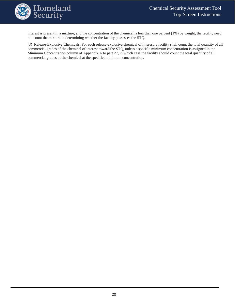

interest is present in a mixture, and the concentration of the chemical is less than one percent (1%) by weight, the facility need not count the mixture in determining whether the facility possesses the STQ.

(3) Release-Explosive Chemicals. For each release-explosive chemical of interest, a facility shall count the total quantity of all commercial grades of the chemical of interest toward the STQ, unless a specific minimum concentration is assigned in the Minimum Concentration column of Appendix A to part 27, in which case the facility should count the total quantity of all commercial grades of the chemical at the specified minimum concentration.